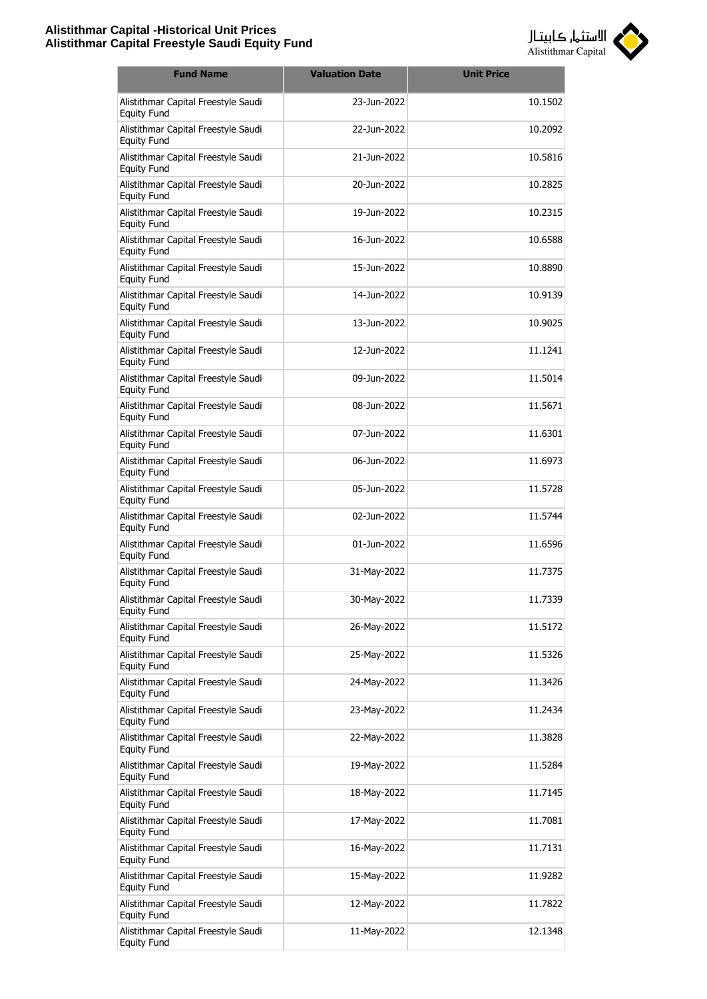

| <b>Fund Name</b>                                          | <b>Valuation Date</b> | <b>Unit Price</b> |
|-----------------------------------------------------------|-----------------------|-------------------|
| Alistithmar Capital Freestyle Saudi<br><b>Equity Fund</b> | 23-Jun-2022           | 10.1502           |
| Alistithmar Capital Freestyle Saudi<br><b>Equity Fund</b> | 22-Jun-2022           | 10.2092           |
| Alistithmar Capital Freestyle Saudi<br><b>Equity Fund</b> | 21-Jun-2022           | 10.5816           |
| Alistithmar Capital Freestyle Saudi<br><b>Equity Fund</b> | 20-Jun-2022           | 10.2825           |
| Alistithmar Capital Freestyle Saudi<br><b>Equity Fund</b> | 19-Jun-2022           | 10.2315           |
| Alistithmar Capital Freestyle Saudi<br><b>Equity Fund</b> | 16-Jun-2022           | 10.6588           |
| Alistithmar Capital Freestyle Saudi<br><b>Equity Fund</b> | 15-Jun-2022           | 10.8890           |
| Alistithmar Capital Freestyle Saudi<br><b>Equity Fund</b> | 14-Jun-2022           | 10.9139           |
| Alistithmar Capital Freestyle Saudi<br><b>Equity Fund</b> | 13-Jun-2022           | 10.9025           |
| Alistithmar Capital Freestyle Saudi<br><b>Equity Fund</b> | 12-Jun-2022           | 11.1241           |
| Alistithmar Capital Freestyle Saudi<br><b>Equity Fund</b> | 09-Jun-2022           | 11.5014           |
| Alistithmar Capital Freestyle Saudi<br><b>Equity Fund</b> | 08-Jun-2022           | 11.5671           |
| Alistithmar Capital Freestyle Saudi<br><b>Equity Fund</b> | 07-Jun-2022           | 11.6301           |
| Alistithmar Capital Freestyle Saudi<br><b>Equity Fund</b> | 06-Jun-2022           | 11.6973           |
| Alistithmar Capital Freestyle Saudi<br><b>Equity Fund</b> | 05-Jun-2022           | 11.5728           |
| Alistithmar Capital Freestyle Saudi<br><b>Equity Fund</b> | 02-Jun-2022           | 11.5744           |
| Alistithmar Capital Freestyle Saudi<br>Equity Fund        | 01-Jun-2022           | 11.6596           |
| Alistithmar Capital Freestyle Saudi<br><b>Equity Fund</b> | 31-May-2022           | 11.7375           |
| Alistithmar Capital Freestyle Saudi<br><b>Equity Fund</b> | 30-May-2022           | 11.7339           |
| Alistithmar Capital Freestyle Saudi<br><b>Equity Fund</b> | 26-May-2022           | 11.5172           |
| Alistithmar Capital Freestyle Saudi<br><b>Equity Fund</b> | 25-May-2022           | 11.5326           |
| Alistithmar Capital Freestyle Saudi<br><b>Equity Fund</b> | 24-May-2022           | 11.3426           |
| Alistithmar Capital Freestyle Saudi<br><b>Equity Fund</b> | 23-May-2022           | 11.2434           |
| Alistithmar Capital Freestyle Saudi<br><b>Equity Fund</b> | 22-May-2022           | 11.3828           |
| Alistithmar Capital Freestyle Saudi<br><b>Equity Fund</b> | 19-May-2022           | 11.5284           |
| Alistithmar Capital Freestyle Saudi<br><b>Equity Fund</b> | 18-May-2022           | 11.7145           |
| Alistithmar Capital Freestyle Saudi<br><b>Equity Fund</b> | 17-May-2022           | 11.7081           |
| Alistithmar Capital Freestyle Saudi<br><b>Equity Fund</b> | 16-May-2022           | 11.7131           |
| Alistithmar Capital Freestyle Saudi<br><b>Equity Fund</b> | 15-May-2022           | 11.9282           |
| Alistithmar Capital Freestyle Saudi<br><b>Equity Fund</b> | 12-May-2022           | 11.7822           |
| Alistithmar Capital Freestyle Saudi<br><b>Equity Fund</b> | 11-May-2022           | 12.1348           |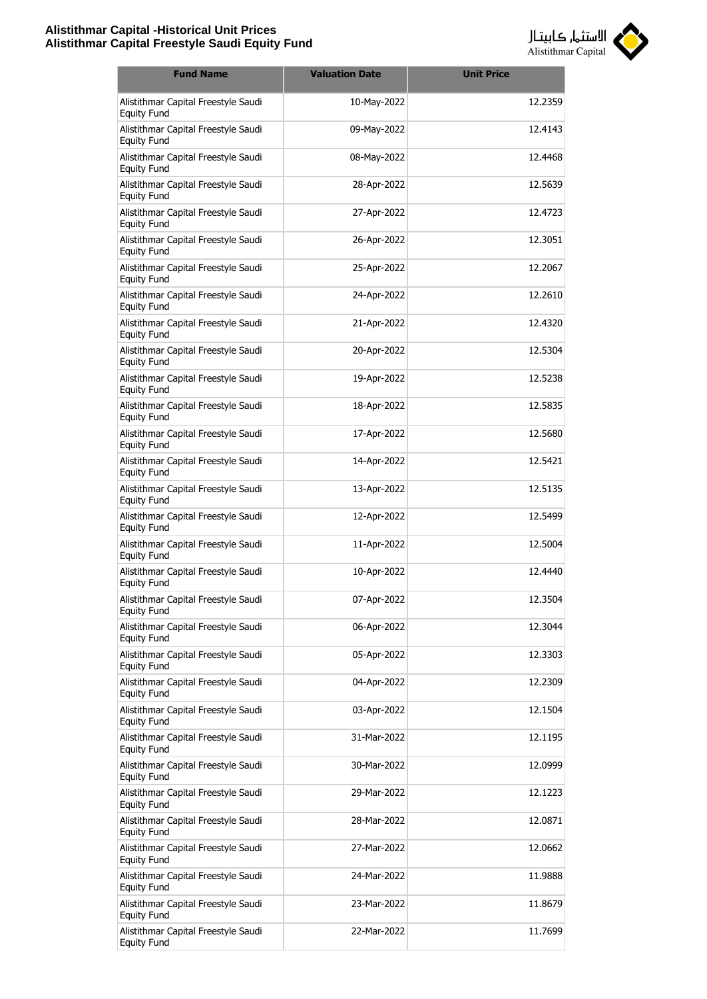

| <b>Fund Name</b>                                          | <b>Valuation Date</b> | <b>Unit Price</b> |
|-----------------------------------------------------------|-----------------------|-------------------|
| Alistithmar Capital Freestyle Saudi<br><b>Equity Fund</b> | 10-May-2022           | 12.2359           |
| Alistithmar Capital Freestyle Saudi<br><b>Equity Fund</b> | 09-May-2022           | 12.4143           |
| Alistithmar Capital Freestyle Saudi<br><b>Equity Fund</b> | 08-May-2022           | 12.4468           |
| Alistithmar Capital Freestyle Saudi<br><b>Equity Fund</b> | 28-Apr-2022           | 12.5639           |
| Alistithmar Capital Freestyle Saudi<br><b>Equity Fund</b> | 27-Apr-2022           | 12.4723           |
| Alistithmar Capital Freestyle Saudi<br><b>Equity Fund</b> | 26-Apr-2022           | 12.3051           |
| Alistithmar Capital Freestyle Saudi<br><b>Equity Fund</b> | 25-Apr-2022           | 12.2067           |
| Alistithmar Capital Freestyle Saudi<br><b>Equity Fund</b> | 24-Apr-2022           | 12.2610           |
| Alistithmar Capital Freestyle Saudi<br><b>Equity Fund</b> | 21-Apr-2022           | 12.4320           |
| Alistithmar Capital Freestyle Saudi<br><b>Equity Fund</b> | 20-Apr-2022           | 12.5304           |
| Alistithmar Capital Freestyle Saudi<br><b>Equity Fund</b> | 19-Apr-2022           | 12.5238           |
| Alistithmar Capital Freestyle Saudi<br><b>Equity Fund</b> | 18-Apr-2022           | 12.5835           |
| Alistithmar Capital Freestyle Saudi<br><b>Equity Fund</b> | 17-Apr-2022           | 12.5680           |
| Alistithmar Capital Freestyle Saudi<br><b>Equity Fund</b> | 14-Apr-2022           | 12.5421           |
| Alistithmar Capital Freestyle Saudi<br><b>Equity Fund</b> | 13-Apr-2022           | 12.5135           |
| Alistithmar Capital Freestyle Saudi<br><b>Equity Fund</b> | 12-Apr-2022           | 12.5499           |
| Alistithmar Capital Freestyle Saudi<br><b>Equity Fund</b> | 11-Apr-2022           | 12.5004           |
| Alistithmar Capital Freestyle Saudi<br><b>Equity Fund</b> | 10-Apr-2022           | 12.4440           |
| Alistithmar Capital Freestyle Saudi<br><b>Equity Fund</b> | 07-Apr-2022           | 12.3504           |
| Alistithmar Capital Freestyle Saudi<br><b>Equity Fund</b> | 06-Apr-2022           | 12.3044           |
| Alistithmar Capital Freestyle Saudi<br><b>Equity Fund</b> | 05-Apr-2022           | 12.3303           |
| Alistithmar Capital Freestyle Saudi<br><b>Equity Fund</b> | 04-Apr-2022           | 12.2309           |
| Alistithmar Capital Freestyle Saudi<br><b>Equity Fund</b> | 03-Apr-2022           | 12.1504           |
| Alistithmar Capital Freestyle Saudi<br><b>Equity Fund</b> | 31-Mar-2022           | 12.1195           |
| Alistithmar Capital Freestyle Saudi<br><b>Equity Fund</b> | 30-Mar-2022           | 12.0999           |
| Alistithmar Capital Freestyle Saudi<br><b>Equity Fund</b> | 29-Mar-2022           | 12.1223           |
| Alistithmar Capital Freestyle Saudi<br><b>Equity Fund</b> | 28-Mar-2022           | 12.0871           |
| Alistithmar Capital Freestyle Saudi<br><b>Equity Fund</b> | 27-Mar-2022           | 12.0662           |
| Alistithmar Capital Freestyle Saudi<br><b>Equity Fund</b> | 24-Mar-2022           | 11.9888           |
| Alistithmar Capital Freestyle Saudi<br>Equity Fund        | 23-Mar-2022           | 11.8679           |
| Alistithmar Capital Freestyle Saudi<br><b>Equity Fund</b> | 22-Mar-2022           | 11.7699           |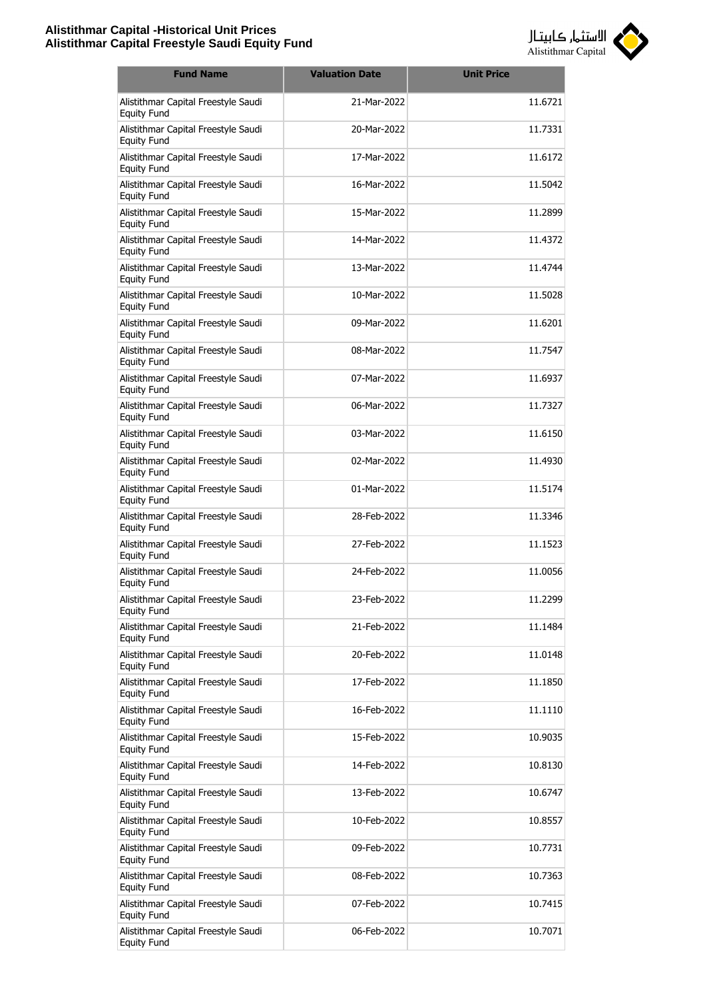

| <b>Fund Name</b>                                          | <b>Valuation Date</b> | <b>Unit Price</b> |
|-----------------------------------------------------------|-----------------------|-------------------|
| Alistithmar Capital Freestyle Saudi<br><b>Equity Fund</b> | 21-Mar-2022           | 11.6721           |
| Alistithmar Capital Freestyle Saudi<br><b>Equity Fund</b> | 20-Mar-2022           | 11.7331           |
| Alistithmar Capital Freestyle Saudi<br><b>Equity Fund</b> | 17-Mar-2022           | 11.6172           |
| Alistithmar Capital Freestyle Saudi<br><b>Equity Fund</b> | 16-Mar-2022           | 11.5042           |
| Alistithmar Capital Freestyle Saudi<br><b>Equity Fund</b> | 15-Mar-2022           | 11.2899           |
| Alistithmar Capital Freestyle Saudi<br><b>Equity Fund</b> | 14-Mar-2022           | 11.4372           |
| Alistithmar Capital Freestyle Saudi<br><b>Equity Fund</b> | 13-Mar-2022           | 11.4744           |
| Alistithmar Capital Freestyle Saudi<br><b>Equity Fund</b> | 10-Mar-2022           | 11.5028           |
| Alistithmar Capital Freestyle Saudi<br><b>Equity Fund</b> | 09-Mar-2022           | 11.6201           |
| Alistithmar Capital Freestyle Saudi<br><b>Equity Fund</b> | 08-Mar-2022           | 11.7547           |
| Alistithmar Capital Freestyle Saudi<br><b>Equity Fund</b> | 07-Mar-2022           | 11.6937           |
| Alistithmar Capital Freestyle Saudi<br><b>Equity Fund</b> | 06-Mar-2022           | 11.7327           |
| Alistithmar Capital Freestyle Saudi<br><b>Equity Fund</b> | 03-Mar-2022           | 11.6150           |
| Alistithmar Capital Freestyle Saudi<br><b>Equity Fund</b> | 02-Mar-2022           | 11.4930           |
| Alistithmar Capital Freestyle Saudi<br><b>Equity Fund</b> | 01-Mar-2022           | 11.5174           |
| Alistithmar Capital Freestyle Saudi<br><b>Equity Fund</b> | 28-Feb-2022           | 11.3346           |
| Alistithmar Capital Freestyle Saudi<br><b>Equity Fund</b> | 27-Feb-2022           | 11.1523           |
| Alistithmar Capital Freestyle Saudi<br><b>Equity Fund</b> | 24-Feb-2022           | 11.0056           |
| Alistithmar Capital Freestyle Saudi<br><b>Equity Fund</b> | 23-Feb-2022           | 11.2299           |
| Alistithmar Capital Freestyle Saudi<br><b>Equity Fund</b> | 21-Feb-2022           | 11.1484           |
| Alistithmar Capital Freestyle Saudi<br><b>Equity Fund</b> | 20-Feb-2022           | 11.0148           |
| Alistithmar Capital Freestyle Saudi<br><b>Equity Fund</b> | 17-Feb-2022           | 11.1850           |
| Alistithmar Capital Freestyle Saudi<br><b>Equity Fund</b> | 16-Feb-2022           | 11.1110           |
| Alistithmar Capital Freestyle Saudi<br><b>Equity Fund</b> | 15-Feb-2022           | 10.9035           |
| Alistithmar Capital Freestyle Saudi<br><b>Equity Fund</b> | 14-Feb-2022           | 10.8130           |
| Alistithmar Capital Freestyle Saudi<br><b>Equity Fund</b> | 13-Feb-2022           | 10.6747           |
| Alistithmar Capital Freestyle Saudi<br><b>Equity Fund</b> | 10-Feb-2022           | 10.8557           |
| Alistithmar Capital Freestyle Saudi<br><b>Equity Fund</b> | 09-Feb-2022           | 10.7731           |
| Alistithmar Capital Freestyle Saudi<br><b>Equity Fund</b> | 08-Feb-2022           | 10.7363           |
| Alistithmar Capital Freestyle Saudi<br>Equity Fund        | 07-Feb-2022           | 10.7415           |
| Alistithmar Capital Freestyle Saudi<br><b>Equity Fund</b> | 06-Feb-2022           | 10.7071           |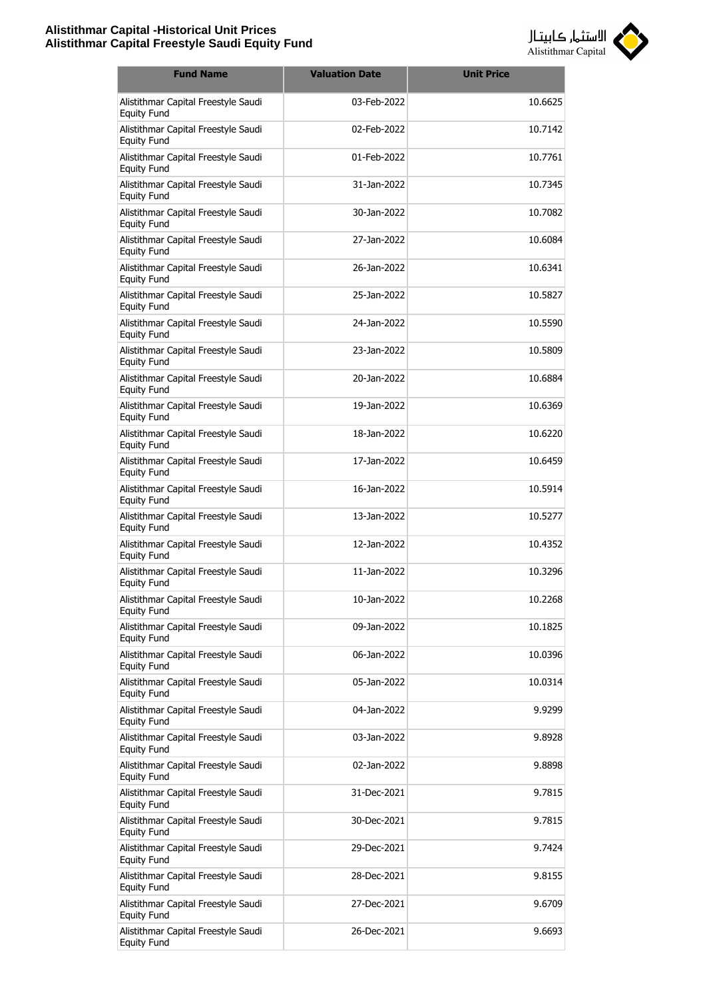

| <b>Fund Name</b>                                          | <b>Valuation Date</b> | <b>Unit Price</b> |
|-----------------------------------------------------------|-----------------------|-------------------|
| Alistithmar Capital Freestyle Saudi<br><b>Equity Fund</b> | 03-Feb-2022           | 10.6625           |
| Alistithmar Capital Freestyle Saudi<br><b>Equity Fund</b> | 02-Feb-2022           | 10.7142           |
| Alistithmar Capital Freestyle Saudi<br><b>Equity Fund</b> | 01-Feb-2022           | 10.7761           |
| Alistithmar Capital Freestyle Saudi<br><b>Equity Fund</b> | 31-Jan-2022           | 10.7345           |
| Alistithmar Capital Freestyle Saudi<br><b>Equity Fund</b> | 30-Jan-2022           | 10.7082           |
| Alistithmar Capital Freestyle Saudi<br><b>Equity Fund</b> | 27-Jan-2022           | 10.6084           |
| Alistithmar Capital Freestyle Saudi<br><b>Equity Fund</b> | 26-Jan-2022           | 10.6341           |
| Alistithmar Capital Freestyle Saudi<br><b>Equity Fund</b> | 25-Jan-2022           | 10.5827           |
| Alistithmar Capital Freestyle Saudi<br><b>Equity Fund</b> | 24-1an-2022           | 10.5590           |
| Alistithmar Capital Freestyle Saudi<br><b>Equity Fund</b> | 23-Jan-2022           | 10.5809           |
| Alistithmar Capital Freestyle Saudi<br><b>Equity Fund</b> | 20-Jan-2022           | 10.6884           |
| Alistithmar Capital Freestyle Saudi<br><b>Equity Fund</b> | 19-Jan-2022           | 10.6369           |
| Alistithmar Capital Freestyle Saudi<br><b>Equity Fund</b> | 18-Jan-2022           | 10.6220           |
| Alistithmar Capital Freestyle Saudi<br><b>Equity Fund</b> | 17-Jan-2022           | 10.6459           |
| Alistithmar Capital Freestyle Saudi<br><b>Equity Fund</b> | 16-Jan-2022           | 10.5914           |
| Alistithmar Capital Freestyle Saudi<br><b>Equity Fund</b> | 13-Jan-2022           | 10.5277           |
| Alistithmar Capital Freestyle Saudi<br>Equity Fund        | 12-Jan-2022           | 10.4352           |
| Alistithmar Capital Freestyle Saudi<br><b>Equity Fund</b> | 11-Jan-2022           | 10.3296           |
| Alistithmar Capital Freestyle Saudi<br><b>Equity Fund</b> | 10-Jan-2022           | 10.2268           |
| Alistithmar Capital Freestyle Saudi<br><b>Equity Fund</b> | 09-Jan-2022           | 10.1825           |
| Alistithmar Capital Freestyle Saudi<br><b>Equity Fund</b> | 06-Jan-2022           | 10.0396           |
| Alistithmar Capital Freestyle Saudi<br><b>Equity Fund</b> | 05-Jan-2022           | 10.0314           |
| Alistithmar Capital Freestyle Saudi<br><b>Equity Fund</b> | 04-Jan-2022           | 9.9299            |
| Alistithmar Capital Freestyle Saudi<br><b>Equity Fund</b> | 03-Jan-2022           | 9.8928            |
| Alistithmar Capital Freestyle Saudi<br><b>Equity Fund</b> | 02-Jan-2022           | 9.8898            |
| Alistithmar Capital Freestyle Saudi<br><b>Equity Fund</b> | 31-Dec-2021           | 9.7815            |
| Alistithmar Capital Freestyle Saudi<br><b>Equity Fund</b> | 30-Dec-2021           | 9.7815            |
| Alistithmar Capital Freestyle Saudi<br><b>Equity Fund</b> | 29-Dec-2021           | 9.7424            |
| Alistithmar Capital Freestyle Saudi<br><b>Equity Fund</b> | 28-Dec-2021           | 9.8155            |
| Alistithmar Capital Freestyle Saudi<br><b>Equity Fund</b> | 27-Dec-2021           | 9.6709            |
| Alistithmar Capital Freestyle Saudi<br><b>Equity Fund</b> | 26-Dec-2021           | 9.6693            |